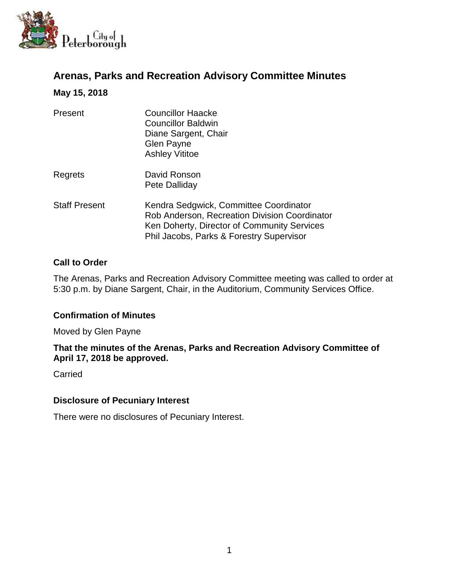

# **Arenas, Parks and Recreation Advisory Committee Minutes**

#### **May 15, 2018**

| Present              | <b>Councillor Haacke</b><br><b>Councillor Baldwin</b><br>Diane Sargent, Chair<br>Glen Payne<br><b>Ashley Vititoe</b>                                                               |
|----------------------|------------------------------------------------------------------------------------------------------------------------------------------------------------------------------------|
| Regrets              | David Ronson<br>Pete Dalliday                                                                                                                                                      |
| <b>Staff Present</b> | Kendra Sedgwick, Committee Coordinator<br>Rob Anderson, Recreation Division Coordinator<br>Ken Doherty, Director of Community Services<br>Phil Jacobs, Parks & Forestry Supervisor |

#### **Call to Order**

The Arenas, Parks and Recreation Advisory Committee meeting was called to order at 5:30 p.m. by Diane Sargent, Chair, in the Auditorium, Community Services Office.

#### **Confirmation of Minutes**

Moved by Glen Payne

### **That the minutes of the Arenas, Parks and Recreation Advisory Committee of April 17, 2018 be approved.**

Carried

#### **Disclosure of Pecuniary Interest**

There were no disclosures of Pecuniary Interest.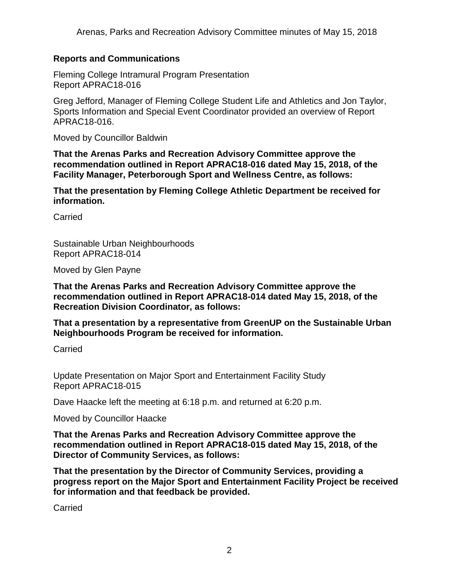#### **Reports and Communications**

Fleming College Intramural Program Presentation Report APRAC18-016

Greg Jefford, Manager of Fleming College Student Life and Athletics and Jon Taylor, Sports Information and Special Event Coordinator provided an overview of Report APRAC18-016.

Moved by Councillor Baldwin

**That the Arenas Parks and Recreation Advisory Committee approve the recommendation outlined in Report APRAC18-016 dated May 15, 2018, of the Facility Manager, Peterborough Sport and Wellness Centre, as follows:**

**That the presentation by Fleming College Athletic Department be received for information.**

Carried

Sustainable Urban Neighbourhoods Report APRAC18-014

Moved by Glen Payne

**That the Arenas Parks and Recreation Advisory Committee approve the recommendation outlined in Report APRAC18-014 dated May 15, 2018, of the Recreation Division Coordinator, as follows:**

**That a presentation by a representative from GreenUP on the Sustainable Urban Neighbourhoods Program be received for information.** 

**Carried** 

Update Presentation on Major Sport and Entertainment Facility Study Report APRAC18-015

Dave Haacke left the meeting at 6:18 p.m. and returned at 6:20 p.m.

Moved by Councillor Haacke

**That the Arenas Parks and Recreation Advisory Committee approve the recommendation outlined in Report APRAC18-015 dated May 15, 2018, of the Director of Community Services, as follows:**

**That the presentation by the Director of Community Services, providing a progress report on the Major Sport and Entertainment Facility Project be received for information and that feedback be provided.**

Carried